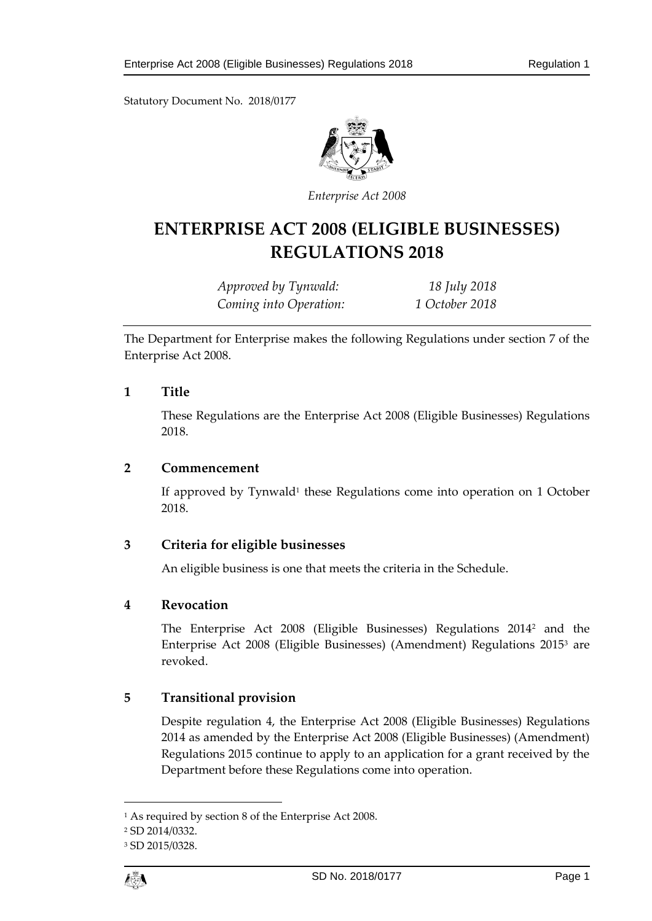Statutory Document No. 2018/0177



*Enterprise Act 2008*

# **ENTERPRISE ACT 2008 (ELIGIBLE BUSINESSES) REGULATIONS 2018**

*Approved by Tynwald: 18 July 2018 Coming into Operation: 1 October 2018*

The Department for Enterprise makes the following Regulations under section 7 of the Enterprise Act 2008.

#### **1 Title**

These Regulations are the Enterprise Act 2008 (Eligible Businesses) Regulations 2018.

#### **2 Commencement**

If approved by Tynwald<sup>1</sup> these Regulations come into operation on 1 October 2018.

## **3 Criteria for eligible businesses**

An eligible business is one that meets the criteria in the Schedule.

## **4 Revocation**

The Enterprise Act 2008 (Eligible Businesses) Regulations 2014<sup>2</sup> and the Enterprise Act 2008 (Eligible Businesses) (Amendment) Regulations 2015<sup>3</sup> are revoked.

## **5 Transitional provision**

Despite regulation 4, the Enterprise Act 2008 (Eligible Businesses) Regulations 2014 as amended by the Enterprise Act 2008 (Eligible Businesses) (Amendment) Regulations 2015 continue to apply to an application for a grant received by the Department before these Regulations come into operation.

1

<sup>1</sup> As required by section 8 of the Enterprise Act 2008.

<sup>2</sup> SD 2014/0332.

<sup>3</sup> SD 2015/0328.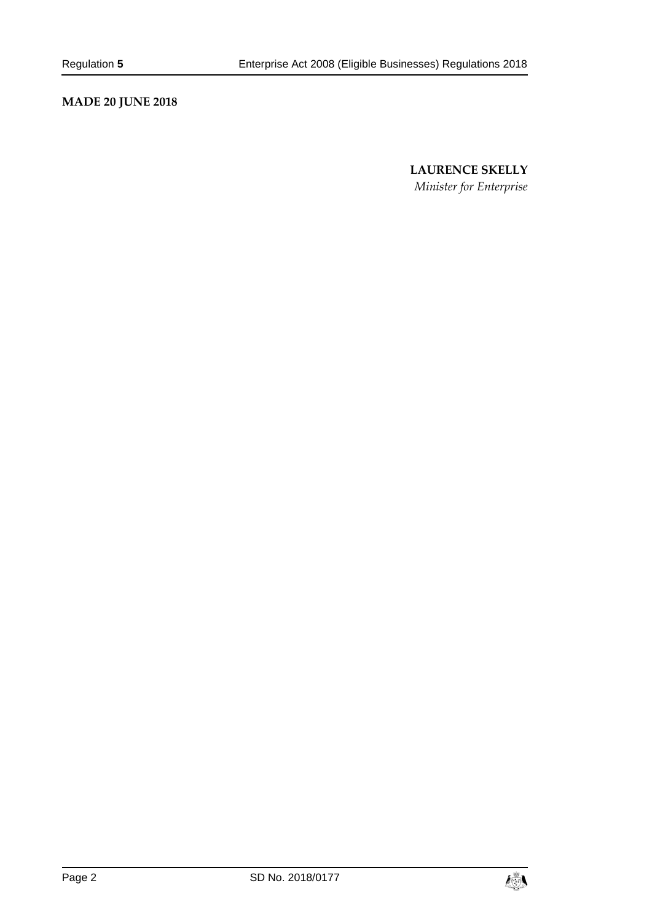# **MADE 20 JUNE 2018**

## **LAURENCE SKELLY**

*Minister for Enterprise*

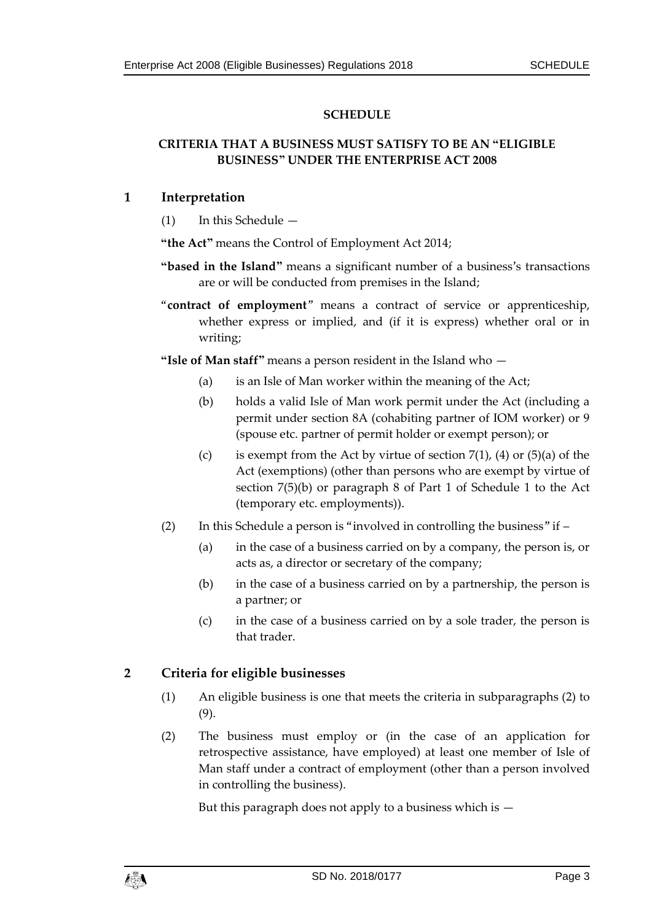#### **SCHEDULE**

#### **CRITERIA THAT A BUSINESS MUST SATISFY TO BE AN "ELIGIBLE BUSINESS" UNDER THE ENTERPRISE ACT 2008**

#### **1 Interpretation**

(1) In this Schedule —

**"the Act"** means the Control of Employment Act 2014;

- **"based in the Island"** means a significant number of a business's transactions are or will be conducted from premises in the Island;
- "**contract of employment**" means a contract of service or apprenticeship, whether express or implied, and (if it is express) whether oral or in writing;

**"Isle of Man staff"** means a person resident in the Island who —

- (a) is an Isle of Man worker within the meaning of the Act;
- (b) holds a valid Isle of Man work permit under the Act (including a permit under section 8A (cohabiting partner of IOM worker) or 9 (spouse etc. partner of permit holder or exempt person); or
- (c) is exempt from the Act by virtue of section  $7(1)$ , (4) or  $(5)(a)$  of the Act (exemptions) (other than persons who are exempt by virtue of section 7(5)(b) or paragraph 8 of Part 1 of Schedule 1 to the Act (temporary etc. employments)).
- (2) In this Schedule a person is "involved in controlling the business" if
	- (a) in the case of a business carried on by a company, the person is, or acts as, a director or secretary of the company;
	- (b) in the case of a business carried on by a partnership, the person is a partner; or
	- (c) in the case of a business carried on by a sole trader, the person is that trader.

## **2 Criteria for eligible businesses**

- (1) An eligible business is one that meets the criteria in subparagraphs (2) to (9).
- (2) The business must employ or (in the case of an application for retrospective assistance, have employed) at least one member of Isle of Man staff under a contract of employment (other than a person involved in controlling the business).

But this paragraph does not apply to a business which is  $-$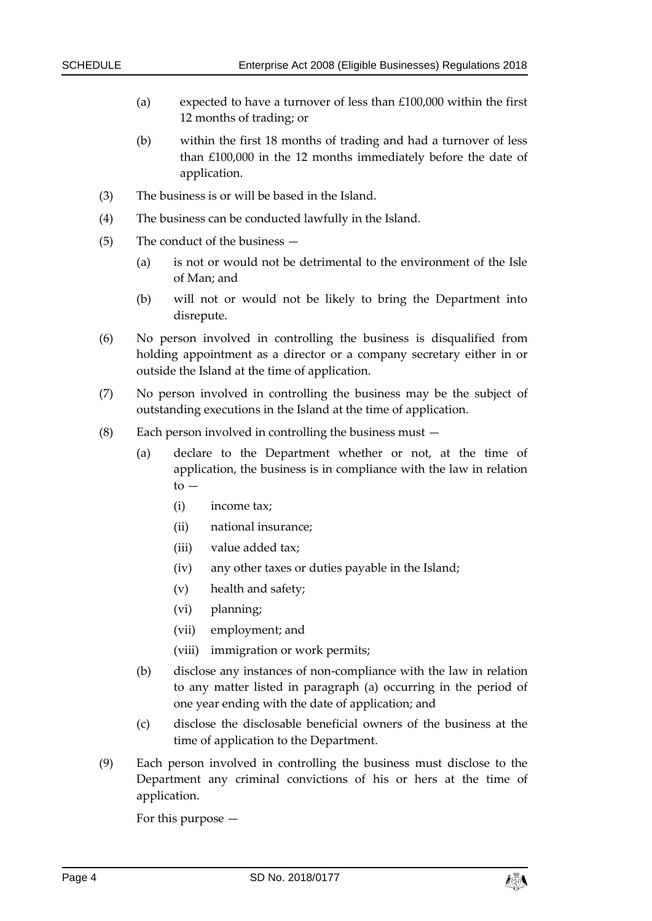- (a) expected to have a turnover of less than £100,000 within the first 12 months of trading; or
- (b) within the first 18 months of trading and had a turnover of less than £100,000 in the 12 months immediately before the date of application.
- (3) The business is or will be based in the Island.
- (4) The business can be conducted lawfully in the Island.
- (5) The conduct of the business
	- (a) is not or would not be detrimental to the environment of the Isle of Man; and
	- (b) will not or would not be likely to bring the Department into disrepute.
- (6) No person involved in controlling the business is disqualified from holding appointment as a director or a company secretary either in or outside the Island at the time of application.
- (7) No person involved in controlling the business may be the subject of outstanding executions in the Island at the time of application.
- (8) Each person involved in controlling the business must
	- (a) declare to the Department whether or not, at the time of application, the business is in compliance with the law in relation  $to -$ 
		- (i) income tax;
		- (ii) national insurance;
		- (iii) value added tax;
		- (iv) any other taxes or duties payable in the Island;
		- (v) health and safety;
		- (vi) planning;
		- (vii) employment; and
		- (viii) immigration or work permits;
	- (b) disclose any instances of non-compliance with the law in relation to any matter listed in paragraph (a) occurring in the period of one year ending with the date of application; and
	- (c) disclose the disclosable beneficial owners of the business at the time of application to the Department.
- (9) Each person involved in controlling the business must disclose to the Department any criminal convictions of his or hers at the time of application.

For this purpose —

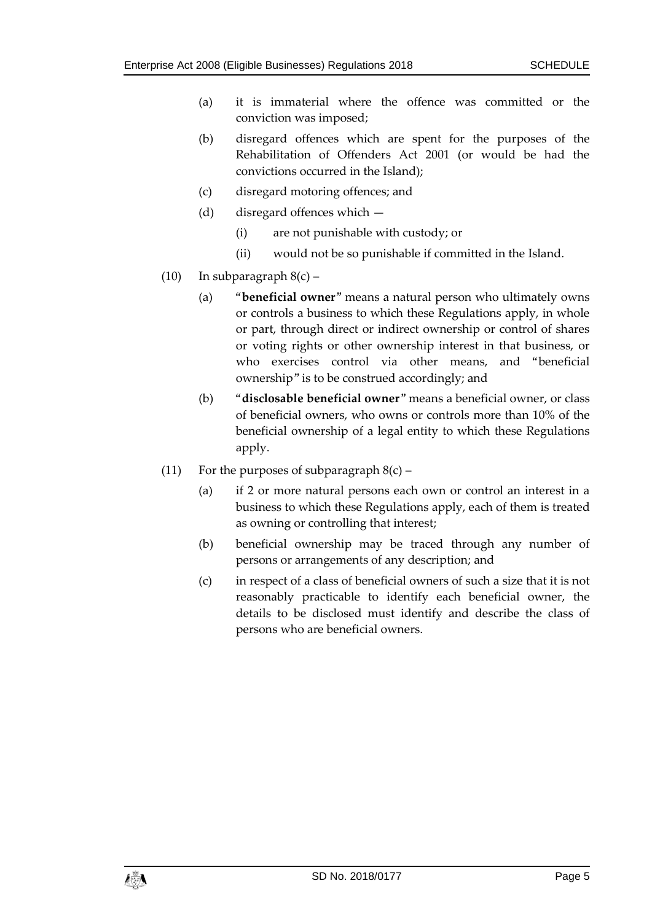- (a) it is immaterial where the offence was committed or the conviction was imposed;
- (b) disregard offences which are spent for the purposes of the Rehabilitation of Offenders Act 2001 (or would be had the convictions occurred in the Island);
- (c) disregard motoring offences; and
- (d) disregard offences which
	- (i) are not punishable with custody; or
	- (ii) would not be so punishable if committed in the Island.
- (10) In subparagraph 8(c)
	- (a) "**beneficial owner**" means a natural person who ultimately owns or controls a business to which these Regulations apply, in whole or part, through direct or indirect ownership or control of shares or voting rights or other ownership interest in that business, or who exercises control via other means, and "beneficial ownership" is to be construed accordingly; and
	- (b) "**disclosable beneficial owner**" means a beneficial owner, or class of beneficial owners, who owns or controls more than 10% of the beneficial ownership of a legal entity to which these Regulations apply.
- (11) For the purposes of subparagraph  $8(c)$ 
	- (a) if 2 or more natural persons each own or control an interest in a business to which these Regulations apply, each of them is treated as owning or controlling that interest;
	- (b) beneficial ownership may be traced through any number of persons or arrangements of any description; and
	- (c) in respect of a class of beneficial owners of such a size that it is not reasonably practicable to identify each beneficial owner, the details to be disclosed must identify and describe the class of persons who are beneficial owners.